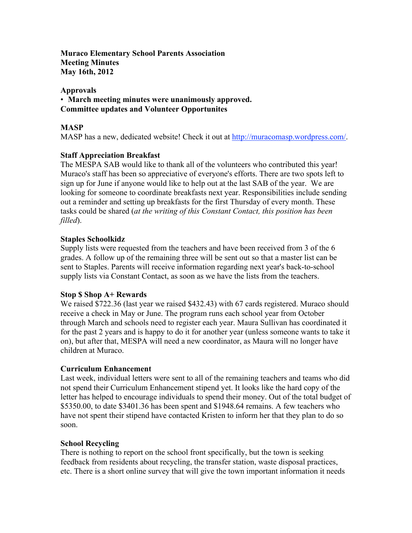**Muraco Elementary School Parents Association Meeting Minutes May 16th, 2012**

#### **Approvals**

• **March meeting minutes were unanimously approved. Committee updates and Volunteer Opportunites**

### **MASP**

MASP has a new, dedicated website! Check it out at http://muracomasp.wordpress.com/.

### **Staff Appreciation Breakfast**

The MESPA SAB would like to thank all of the volunteers who contributed this year! Muraco's staff has been so appreciative of everyone's efforts. There are two spots left to sign up for June if anyone would like to help out at the last SAB of the year. We are looking for someone to coordinate breakfasts next year. Responsibilities include sending out a reminder and setting up breakfasts for the first Thursday of every month. These tasks could be shared (*at the writing of this Constant Contact, this position has been filled*).

#### **Staples Schoolkidz**

Supply lists were requested from the teachers and have been received from 3 of the 6 grades. A follow up of the remaining three will be sent out so that a master list can be sent to Staples. Parents will receive information regarding next year's back-to-school supply lists via Constant Contact, as soon as we have the lists from the teachers.

#### **Stop \$ Shop A+ Rewards**

We raised \$722.36 (last year we raised \$432.43) with 67 cards registered. Muraco should receive a check in May or June. The program runs each school year from October through March and schools need to register each year. Maura Sullivan has coordinated it for the past 2 years and is happy to do it for another year (unless someone wants to take it on), but after that, MESPA will need a new coordinator, as Maura will no longer have children at Muraco.

#### **Curriculum Enhancement**

Last week, individual letters were sent to all of the remaining teachers and teams who did not spend their Curriculum Enhancement stipend yet. It looks like the hard copy of the letter has helped to encourage individuals to spend their money. Out of the total budget of \$5350.00, to date \$3401.36 has been spent and \$1948.64 remains. A few teachers who have not spent their stipend have contacted Kristen to inform her that they plan to do so soon.

#### **School Recycling**

There is nothing to report on the school front specifically, but the town is seeking feedback from residents about recycling, the transfer station, waste disposal practices, etc. There is a short online survey that will give the town important information it needs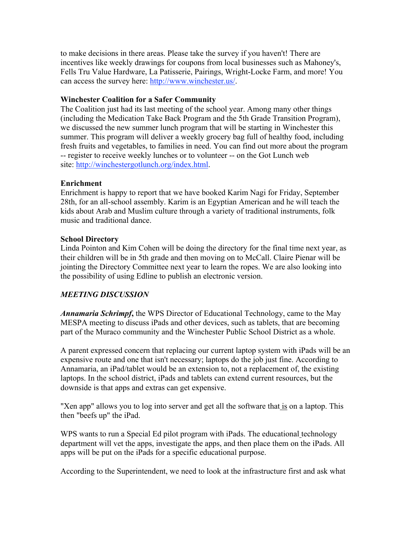to make decisions in there areas. Please take the survey if you haven't! There are incentives like weekly drawings for coupons from local businesses such as Mahoney's, Fells Tru Value Hardware, La Patisserie, Pairings, Wright-Locke Farm, and more! You can access the survey here: http://www.winchester.us/.

## **Winchester Coalition for a Safer Community**

The Coalition just had its last meeting of the school year. Among many other things (including the Medication Take Back Program and the 5th Grade Transition Program), we discussed the new summer lunch program that will be starting in Winchester this summer. This program will deliver a weekly grocery bag full of healthy food, including fresh fruits and vegetables, to families in need. You can find out more about the program -- register to receive weekly lunches or to volunteer -- on the Got Lunch web site: http://winchestergotlunch.org/index.html.

# **Enrichment**

Enrichment is happy to report that we have booked Karim Nagi for Friday, September 28th, for an all-school assembly. Karim is an Egyptian American and he will teach the kids about Arab and Muslim culture through a variety of traditional instruments, folk music and traditional dance.

## **School Directory**

Linda Pointon and Kim Cohen will be doing the directory for the final time next year, as their children will be in 5th grade and then moving on to McCall. Claire Pienar will be jointing the Directory Committee next year to learn the ropes. We are also looking into the possibility of using Edline to publish an electronic version.

# *MEETING DISCUSSION*

*Annamaria Schrimpf***,** the WPS Director of Educational Technology, came to the May MESPA meeting to discuss iPads and other devices, such as tablets, that are becoming part of the Muraco community and the Winchester Public School District as a whole.

A parent expressed concern that replacing our current laptop system with iPads will be an expensive route and one that isn't necessary; laptops do the job just fine. According to Annamaria, an iPad/tablet would be an extension to, not a replacement of, the existing laptops. In the school district, iPads and tablets can extend current resources, but the downside is that apps and extras can get expensive.

"Xen app" allows you to log into server and get all the software that is on a laptop. This then "beefs up" the iPad.

WPS wants to run a Special Ed pilot program with iPads. The educational technology department will vet the apps, investigate the apps, and then place them on the iPads. All apps will be put on the iPads for a specific educational purpose.

According to the Superintendent, we need to look at the infrastructure first and ask what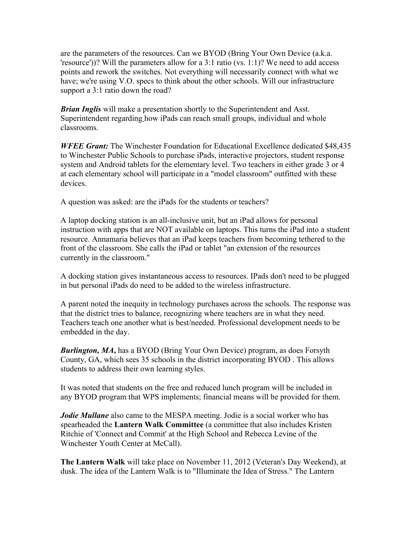are the parameters of the resources. Can we BYOD (Bring Your Own Device (a.k.a. 'resource'))? Will the parameters allow for a 3:1 ratio (vs. 1:1)? We need to add access points and rework the switches. Not everything will necessarily connect with what we have; we're using V.O. specs to think about the other schools. Will our infrastructure support a 3:1 ratio down the road?

*Brian Inglis* will make a presentation shortly to the Superintendent and Asst. Superintendent regarding how iPads can reach small groups, individual and whole classrooms.

*WFEE Grant:* The Winchester Foundation for Educational Excellence dedicated \$48,435 to Winchester Public Schools to purchase iPads, interactive projectors, student response system and Android tablets for the elementary level. Two teachers in either grade 3 or 4 at each elementary school will participate in a "model classroom" outfitted with these devices.

A question was asked: are the iPads for the students or teachers?

A laptop docking station is an all-inclusive unit, but an iPad allows for personal instruction with apps that are NOT available on laptops. This turns the iPad into a student resource. Annamaria believes that an iPad keeps teachers from becoming tethered to the front of the classroom. She calls the iPad or tablet "an extension of the resources currently in the classroom."

A docking station gives instantaneous access to resources. IPads don't need to be plugged in but personal iPads do need to be added to the wireless infrastructure.

A parent noted the inequity in technology purchases across the schools. The response was that the district tries to balance, recognizing where teachers are in what they need. Teachers teach one another what is best/needed. Professional development needs to be embedded in the day.

*Burlington, MA***,** has a BYOD (Bring Your Own Device) program, as does Forsyth County, GA, which sees 35 schools in the district incorporating BYOD . This allows students to address their own learning styles.

It was noted that students on the free and reduced lunch program will be included in any BYOD program that WPS implements; financial means will be provided for them.

*Jodie Mullane* also came to the MESPA meeting. Jodie is a social worker who has spearheaded the **Lantern Walk Committee** (a committee that also includes Kristen Ritchie of 'Connect and Commit' at the High School and Rebecca Levine of the Winchester Youth Center at McCall).

**The Lantern Walk** will take place on November 11, 2012 (Veteran's Day Weekend), at dusk. The idea of the Lantern Walk is to "Illuminate the Idea of Stress." The Lantern